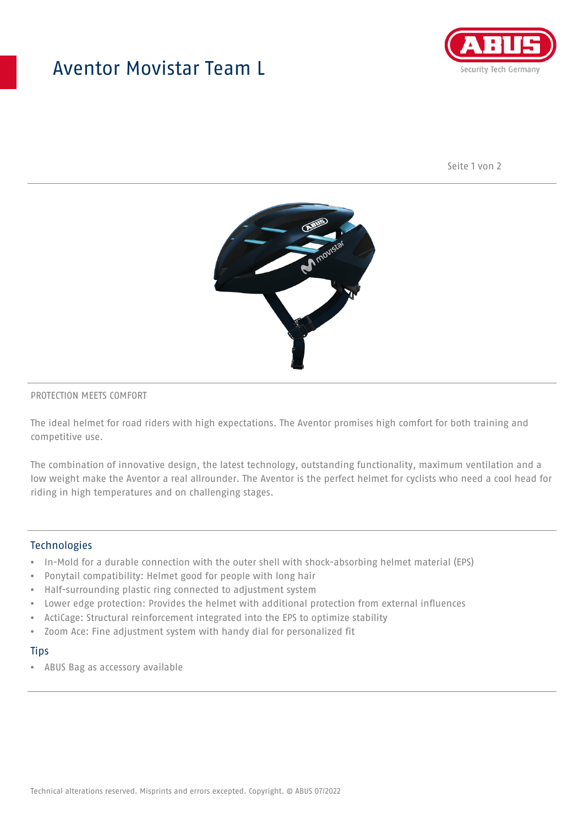## Aventor Movistar Team L



Seite 1 von 2



#### PROTECTION MEETS COMFORT

The ideal helmet for road riders with high expectations. The Aventor promises high comfort for both training and competitive use.

The combination of innovative design, the latest technology, outstanding functionality, maximum ventilation and a low weight make the Aventor a real allrounder. The Aventor is the perfect helmet for cyclists who need a cool head for riding in high temperatures and on challenging stages.

#### **Technologies**

- In-Mold for a durable connection with the outer shell with shock-absorbing helmet material (EPS)
- Ponytail compatibility: Helmet good for people with long hair
- Half-surrounding plastic ring connected to adjustment system
- Lower edge protection: Provides the helmet with additional protection from external influences
- ActiCage: Structural reinforcement integrated into the EPS to optimize stability
- Zoom Ace: Fine adjustment system with handy dial for personalized fit

#### **Tips**

• ABUS Bag as accessory available